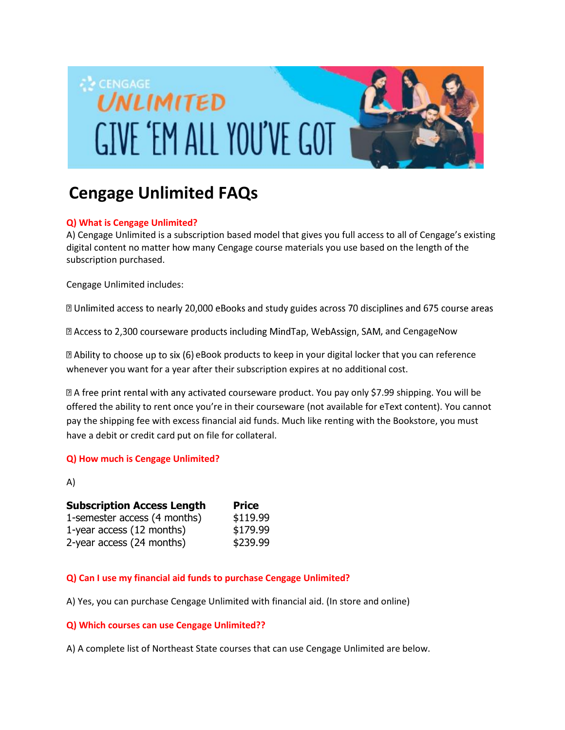

# **Cengage Unlimited FAQs**

### **Q) What is Cengage Unlimited?**

A) Cengage Unlimited is a subscription based model that gives you full access to all of Cengage's existing digital content no matter how many Cengage course materials you use based on the length of the subscription purchased.

Cengage Unlimited includes:

a Unlimited access to nearly 20,000 eBooks and study guides across 70 disciplines and 675 course areas

a Access to 2,300 courseware products including MindTap, WebAssign, SAM, and CengageNow

I Ability to choose up to six (6) eBook products to keep in your digital locker that you can reference whenever you want for a year after their subscription expires at no additional cost.

 $\mathbb Z$  A free print rental with any activated courseware product. You pay only \$7.99 shipping. You will be offered the ability to rent once you're in their courseware (not available for eText content). You cannot pay the shipping fee with excess financial aid funds. Much like renting with the Bookstore, you must have a debit or credit card put on file for collateral.

#### **Q) How much is Cengage Unlimited?**

A)

| <b>Subscription Access Length</b> | <b>Price</b> |
|-----------------------------------|--------------|
| 1-semester access (4 months)      | \$119.99     |
| 1-year access (12 months)         | \$179.99     |
| 2-year access (24 months)         | \$239.99     |

## **Q) Can I use my financial aid funds to purchase Cengage Unlimited?**

A) Yes, you can purchase Cengage Unlimited with financial aid. (In store and online)

#### **Q) Which courses can use Cengage Unlimited??**

A) A complete list of Northeast State courses that can use Cengage Unlimited are below.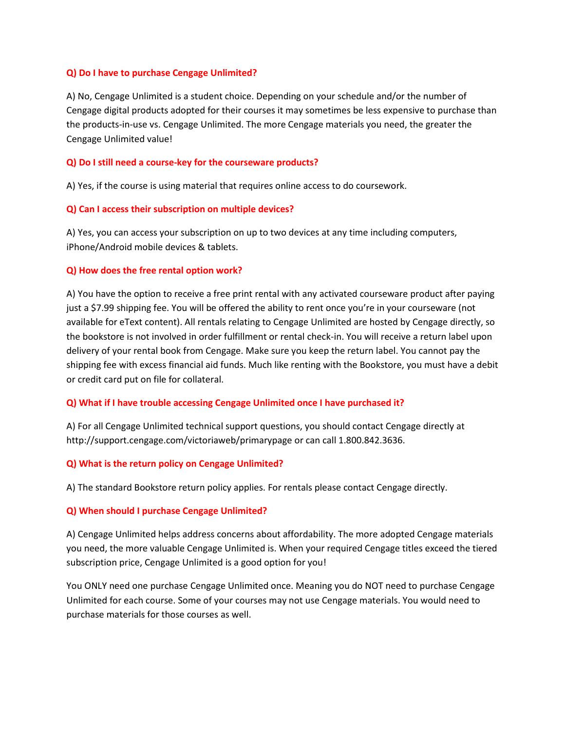#### **Q) Do I have to purchase Cengage Unlimited?**

A) No, Cengage Unlimited is a student choice. Depending on your schedule and/or the number of Cengage digital products adopted for their courses it may sometimes be less expensive to purchase than the products-in-use vs. Cengage Unlimited. The more Cengage materials you need, the greater the Cengage Unlimited value!

#### **Q) Do I still need a course-key for the courseware products?**

A) Yes, if the course is using material that requires online access to do coursework.

#### **Q) Can I access their subscription on multiple devices?**

A) Yes, you can access your subscription on up to two devices at any time including computers, iPhone/Android mobile devices & tablets.

#### **Q) How does the free rental option work?**

A) You have the option to receive a free print rental with any activated courseware product after paying just a \$7.99 shipping fee. You will be offered the ability to rent once you're in your courseware (not available for eText content). All rentals relating to Cengage Unlimited are hosted by Cengage directly, so the bookstore is not involved in order fulfillment or rental check-in. You will receive a return label upon delivery of your rental book from Cengage. Make sure you keep the return label. You cannot pay the shipping fee with excess financial aid funds. Much like renting with the Bookstore, you must have a debit or credit card put on file for collateral.

#### **Q) What if I have trouble accessing Cengage Unlimited once I have purchased it?**

A) For all Cengage Unlimited technical support questions, you should contact Cengage directly at http://support.cengage.com/victoriaweb/primarypage or can call 1.800.842.3636.

#### **Q) What is the return policy on Cengage Unlimited?**

A) The standard Bookstore return policy applies. For rentals please contact Cengage directly.

#### **Q) When should I purchase Cengage Unlimited?**

A) Cengage Unlimited helps address concerns about affordability. The more adopted Cengage materials you need, the more valuable Cengage Unlimited is. When your required Cengage titles exceed the tiered subscription price, Cengage Unlimited is a good option for you!

You ONLY need one purchase Cengage Unlimited once. Meaning you do NOT need to purchase Cengage Unlimited for each course. Some of your courses may not use Cengage materials. You would need to purchase materials for those courses as well.